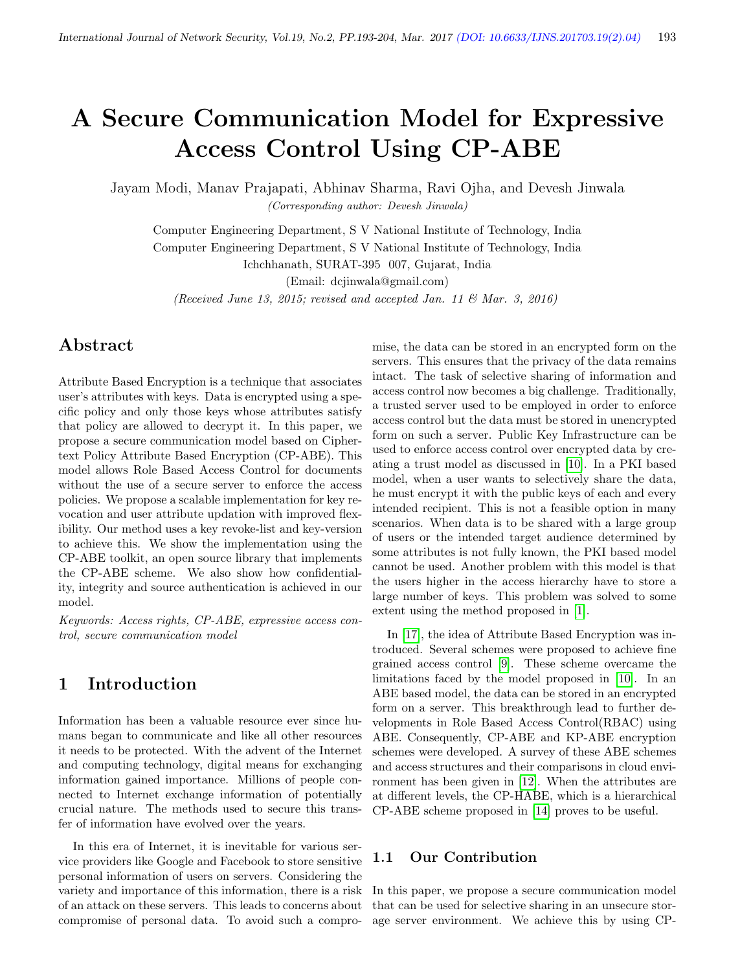# A Secure Communication Model for Expressive Access Control Using CP-ABE

Jayam Modi, Manav Prajapati, Abhinav Sharma, Ravi Ojha, and Devesh Jinwala (Corresponding author: Devesh Jinwala)

Computer Engineering Department, S V National Institute of Technology, India Computer Engineering Department, S V National Institute of Technology, India

Ichchhanath, SURAT-395 007, Gujarat, India

(Email: dcjinwala@gmail.com)

(Received June 13, 2015; revised and accepted Jan. 11  $\mathcal{B}$  Mar. 3, 2016)

# Abstract

Attribute Based Encryption is a technique that associates user's attributes with keys. Data is encrypted using a specific policy and only those keys whose attributes satisfy that policy are allowed to decrypt it. In this paper, we propose a secure communication model based on Ciphertext Policy Attribute Based Encryption (CP-ABE). This model allows Role Based Access Control for documents without the use of a secure server to enforce the access policies. We propose a scalable implementation for key revocation and user attribute updation with improved flexibility. Our method uses a key revoke-list and key-version to achieve this. We show the implementation using the CP-ABE toolkit, an open source library that implements the CP-ABE scheme. We also show how confidentiality, integrity and source authentication is achieved in our model.

Keywords: Access rights, CP-ABE, expressive access control, secure communication model

# 1 Introduction

Information has been a valuable resource ever since humans began to communicate and like all other resources it needs to be protected. With the advent of the Internet and computing technology, digital means for exchanging information gained importance. Millions of people connected to Internet exchange information of potentially crucial nature. The methods used to secure this transfer of information have evolved over the years.

In this era of Internet, it is inevitable for various service providers like Google and Facebook to store sensitive personal information of users on servers. Considering the variety and importance of this information, there is a risk of an attack on these servers. This leads to concerns about compromise of personal data. To avoid such a compromise, the data can be stored in an encrypted form on the servers. This ensures that the privacy of the data remains intact. The task of selective sharing of information and access control now becomes a big challenge. Traditionally, a trusted server used to be employed in order to enforce access control but the data must be stored in unencrypted form on such a server. Public Key Infrastructure can be used to enforce access control over encrypted data by creating a trust model as discussed in [\[10\]](#page-10-0). In a PKI based model, when a user wants to selectively share the data, he must encrypt it with the public keys of each and every intended recipient. This is not a feasible option in many scenarios. When data is to be shared with a large group of users or the intended target audience determined by some attributes is not fully known, the PKI based model cannot be used. Another problem with this model is that the users higher in the access hierarchy have to store a large number of keys. This problem was solved to some extent using the method proposed in [\[1\]](#page-10-1).

In [\[17\]](#page-10-2), the idea of Attribute Based Encryption was introduced. Several schemes were proposed to achieve fine grained access control [\[9\]](#page-10-3). These scheme overcame the limitations faced by the model proposed in [\[10\]](#page-10-0). In an ABE based model, the data can be stored in an encrypted form on a server. This breakthrough lead to further developments in Role Based Access Control(RBAC) using ABE. Consequently, CP-ABE and KP-ABE encryption schemes were developed. A survey of these ABE schemes and access structures and their comparisons in cloud environment has been given in [\[12\]](#page-10-4). When the attributes are at different levels, the CP-HABE, which is a hierarchical CP-ABE scheme proposed in [\[14\]](#page-10-5) proves to be useful.

#### 1.1 Our Contribution

In this paper, we propose a secure communication model that can be used for selective sharing in an unsecure storage server environment. We achieve this by using CP-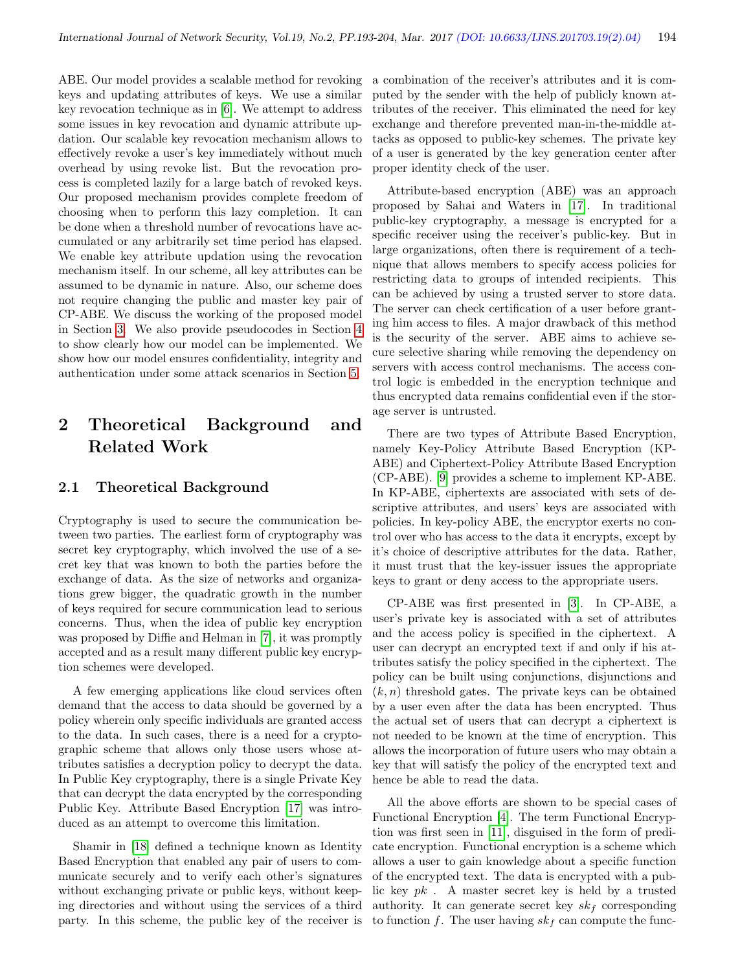ABE. Our model provides a scalable method for revoking keys and updating attributes of keys. We use a similar key revocation technique as in [\[6\]](#page-10-6). We attempt to address some issues in key revocation and dynamic attribute updation. Our scalable key revocation mechanism allows to effectively revoke a user's key immediately without much overhead by using revoke list. But the revocation process is completed lazily for a large batch of revoked keys. Our proposed mechanism provides complete freedom of choosing when to perform this lazy completion. It can be done when a threshold number of revocations have accumulated or any arbitrarily set time period has elapsed. We enable key attribute updation using the revocation mechanism itself. In our scheme, all key attributes can be assumed to be dynamic in nature. Also, our scheme does not require changing the public and master key pair of CP-ABE. We discuss the working of the proposed model in Section [3.](#page-2-0) We also provide pseudocodes in Section [4](#page-5-0) to show clearly how our model can be implemented. We show how our model ensures confidentiality, integrity and authentication under some attack scenarios in Section [5.](#page-7-0)

# 2 Theoretical Background and Related Work

## 2.1 Theoretical Background

Cryptography is used to secure the communication between two parties. The earliest form of cryptography was secret key cryptography, which involved the use of a secret key that was known to both the parties before the exchange of data. As the size of networks and organizations grew bigger, the quadratic growth in the number of keys required for secure communication lead to serious concerns. Thus, when the idea of public key encryption was proposed by Diffie and Helman in [\[7\]](#page-10-7), it was promptly accepted and as a result many different public key encryption schemes were developed.

A few emerging applications like cloud services often demand that the access to data should be governed by a policy wherein only specific individuals are granted access to the data. In such cases, there is a need for a cryptographic scheme that allows only those users whose attributes satisfies a decryption policy to decrypt the data. In Public Key cryptography, there is a single Private Key that can decrypt the data encrypted by the corresponding Public Key. Attribute Based Encryption [\[17\]](#page-10-2) was introduced as an attempt to overcome this limitation.

Shamir in [\[18\]](#page-10-8) defined a technique known as Identity Based Encryption that enabled any pair of users to communicate securely and to verify each other's signatures without exchanging private or public keys, without keeping directories and without using the services of a third party. In this scheme, the public key of the receiver is a combination of the receiver's attributes and it is computed by the sender with the help of publicly known attributes of the receiver. This eliminated the need for key exchange and therefore prevented man-in-the-middle attacks as opposed to public-key schemes. The private key of a user is generated by the key generation center after proper identity check of the user.

Attribute-based encryption (ABE) was an approach proposed by Sahai and Waters in [\[17\]](#page-10-2). In traditional public-key cryptography, a message is encrypted for a specific receiver using the receiver's public-key. But in large organizations, often there is requirement of a technique that allows members to specify access policies for restricting data to groups of intended recipients. This can be achieved by using a trusted server to store data. The server can check certification of a user before granting him access to files. A major drawback of this method is the security of the server. ABE aims to achieve secure selective sharing while removing the dependency on servers with access control mechanisms. The access control logic is embedded in the encryption technique and thus encrypted data remains confidential even if the storage server is untrusted.

There are two types of Attribute Based Encryption, namely Key-Policy Attribute Based Encryption (KP-ABE) and Ciphertext-Policy Attribute Based Encryption (CP-ABE). [\[9\]](#page-10-3) provides a scheme to implement KP-ABE. In KP-ABE, ciphertexts are associated with sets of descriptive attributes, and users' keys are associated with policies. In key-policy ABE, the encryptor exerts no control over who has access to the data it encrypts, except by it's choice of descriptive attributes for the data. Rather, it must trust that the key-issuer issues the appropriate keys to grant or deny access to the appropriate users.

CP-ABE was first presented in [\[3\]](#page-10-9). In CP-ABE, a user's private key is associated with a set of attributes and the access policy is specified in the ciphertext. A user can decrypt an encrypted text if and only if his attributes satisfy the policy specified in the ciphertext. The policy can be built using conjunctions, disjunctions and  $(k, n)$  threshold gates. The private keys can be obtained by a user even after the data has been encrypted. Thus the actual set of users that can decrypt a ciphertext is not needed to be known at the time of encryption. This allows the incorporation of future users who may obtain a key that will satisfy the policy of the encrypted text and hence be able to read the data.

All the above efforts are shown to be special cases of Functional Encryption [\[4\]](#page-10-10). The term Functional Encryption was first seen in [\[11\]](#page-10-11), disguised in the form of predicate encryption. Functional encryption is a scheme which allows a user to gain knowledge about a specific function of the encrypted text. The data is encrypted with a public key  $pk$ . A master secret key is held by a trusted authority. It can generate secret key  $sk_f$  corresponding to function f. The user having  $sk_f$  can compute the func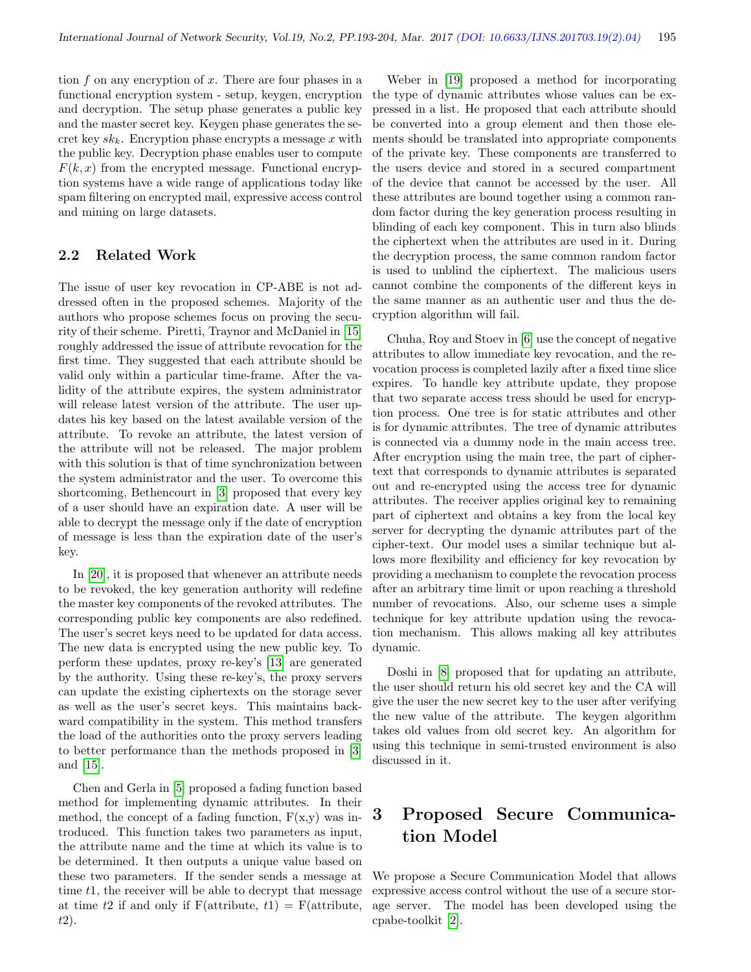tion  $f$  on any encryption of  $x$ . There are four phases in a functional encryption system - setup, keygen, encryption and decryption. The setup phase generates a public key and the master secret key. Keygen phase generates the secret key  $sk_k$ . Encryption phase encrypts a message x with the public key. Decryption phase enables user to compute  $F(k, x)$  from the encrypted message. Functional encryption systems have a wide range of applications today like spam filtering on encrypted mail, expressive access control and mining on large datasets.

# 2.2 Related Work

The issue of user key revocation in CP-ABE is not addressed often in the proposed schemes. Majority of the authors who propose schemes focus on proving the security of their scheme. Piretti, Traynor and McDaniel in [\[15\]](#page-10-12) roughly addressed the issue of attribute revocation for the first time. They suggested that each attribute should be valid only within a particular time-frame. After the validity of the attribute expires, the system administrator will release latest version of the attribute. The user updates his key based on the latest available version of the attribute. To revoke an attribute, the latest version of the attribute will not be released. The major problem with this solution is that of time synchronization between the system administrator and the user. To overcome this shortcoming, Bethencourt in [\[3\]](#page-10-9) proposed that every key of a user should have an expiration date. A user will be able to decrypt the message only if the date of encryption of message is less than the expiration date of the user's key.

In [\[20\]](#page-10-13), it is proposed that whenever an attribute needs to be revoked, the key generation authority will redefine the master key components of the revoked attributes. The corresponding public key components are also redefined. The user's secret keys need to be updated for data access. The new data is encrypted using the new public key. To perform these updates, proxy re-key's [\[13\]](#page-10-14) are generated by the authority. Using these re-key's, the proxy servers can update the existing ciphertexts on the storage sever as well as the user's secret keys. This maintains backward compatibility in the system. This method transfers the load of the authorities onto the proxy servers leading to better performance than the methods proposed in [\[3\]](#page-10-9) and [\[15\]](#page-10-12).

Chen and Gerla in [\[5\]](#page-10-15) proposed a fading function based method for implementing dynamic attributes. In their method, the concept of a fading function,  $F(x,y)$  was introduced. This function takes two parameters as input, the attribute name and the time at which its value is to be determined. It then outputs a unique value based on these two parameters. If the sender sends a message at time t<sub>1</sub>, the receiver will be able to decrypt that message at time t2 if and only if  $F(\text{attribute}, t1) = F(\text{attribute}, t2)$ t2).

Weber in [\[19\]](#page-10-16) proposed a method for incorporating the type of dynamic attributes whose values can be expressed in a list. He proposed that each attribute should be converted into a group element and then those elements should be translated into appropriate components of the private key. These components are transferred to the users device and stored in a secured compartment of the device that cannot be accessed by the user. All these attributes are bound together using a common random factor during the key generation process resulting in blinding of each key component. This in turn also blinds the ciphertext when the attributes are used in it. During the decryption process, the same common random factor is used to unblind the ciphertext. The malicious users cannot combine the components of the different keys in the same manner as an authentic user and thus the decryption algorithm will fail.

Chuha, Roy and Stoev in [\[6\]](#page-10-6) use the concept of negative attributes to allow immediate key revocation, and the revocation process is completed lazily after a fixed time slice expires. To handle key attribute update, they propose that two separate access tress should be used for encryption process. One tree is for static attributes and other is for dynamic attributes. The tree of dynamic attributes is connected via a dummy node in the main access tree. After encryption using the main tree, the part of ciphertext that corresponds to dynamic attributes is separated out and re-encrypted using the access tree for dynamic attributes. The receiver applies original key to remaining part of ciphertext and obtains a key from the local key server for decrypting the dynamic attributes part of the cipher-text. Our model uses a similar technique but allows more flexibility and efficiency for key revocation by providing a mechanism to complete the revocation process after an arbitrary time limit or upon reaching a threshold number of revocations. Also, our scheme uses a simple technique for key attribute updation using the revocation mechanism. This allows making all key attributes dynamic.

Doshi in [\[8\]](#page-10-17) proposed that for updating an attribute, the user should return his old secret key and the CA will give the user the new secret key to the user after verifying the new value of the attribute. The keygen algorithm takes old values from old secret key. An algorithm for using this technique in semi-trusted environment is also discussed in it.

# <span id="page-2-0"></span>3 Proposed Secure Communication Model

We propose a Secure Communication Model that allows expressive access control without the use of a secure storage server. The model has been developed using the cpabe-toolkit [\[2\]](#page-10-18).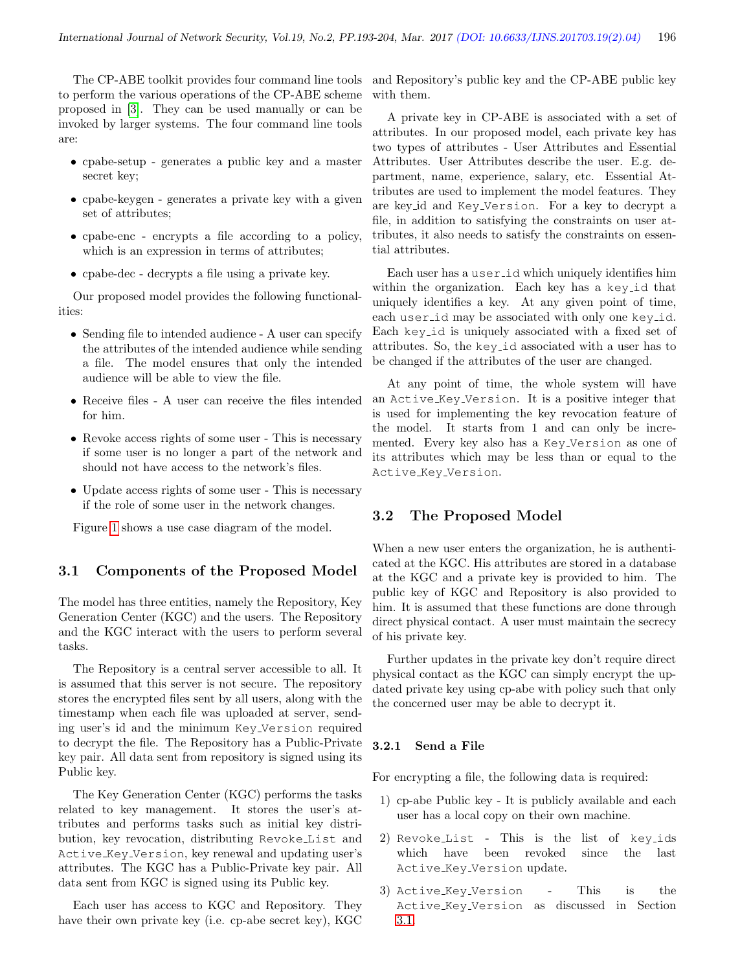The CP-ABE toolkit provides four command line tools to perform the various operations of the CP-ABE scheme proposed in [\[3\]](#page-10-9). They can be used manually or can be invoked by larger systems. The four command line tools are:

- cpabe-setup generates a public key and a master secret key;
- cpabe-keygen generates a private key with a given set of attributes;
- cpabe-enc encrypts a file according to a policy, which is an expression in terms of attributes;
- cpabe-dec decrypts a file using a private key.

Our proposed model provides the following functionalities:

- Sending file to intended audience A user can specify the attributes of the intended audience while sending a file. The model ensures that only the intended audience will be able to view the file.
- Receive files A user can receive the files intended for him.
- Revoke access rights of some user This is necessary if some user is no longer a part of the network and should not have access to the network's files.
- Update access rights of some user This is necessary if the role of some user in the network changes.

Figure [1](#page-4-0) shows a use case diagram of the model.

#### <span id="page-3-0"></span>3.1 Components of the Proposed Model

The model has three entities, namely the Repository, Key Generation Center (KGC) and the users. The Repository and the KGC interact with the users to perform several tasks.

The Repository is a central server accessible to all. It is assumed that this server is not secure. The repository stores the encrypted files sent by all users, along with the timestamp when each file was uploaded at server, sending user's id and the minimum Key Version required to decrypt the file. The Repository has a Public-Private key pair. All data sent from repository is signed using its Public key.

The Key Generation Center (KGC) performs the tasks related to key management. It stores the user's attributes and performs tasks such as initial key distribution, key revocation, distributing Revoke List and Active Key Version, key renewal and updating user's attributes. The KGC has a Public-Private key pair. All data sent from KGC is signed using its Public key.

Each user has access to KGC and Repository. They have their own private key (i.e. cp-abe secret key), KGC and Repository's public key and the CP-ABE public key with them.

A private key in CP-ABE is associated with a set of attributes. In our proposed model, each private key has two types of attributes - User Attributes and Essential Attributes. User Attributes describe the user. E.g. department, name, experience, salary, etc. Essential Attributes are used to implement the model features. They are key id and Key Version. For a key to decrypt a file, in addition to satisfying the constraints on user attributes, it also needs to satisfy the constraints on essential attributes.

Each user has a user id which uniquely identifies him within the organization. Each key has a key id that uniquely identifies a key. At any given point of time, each user id may be associated with only one key id. Each key id is uniquely associated with a fixed set of attributes. So, the key id associated with a user has to be changed if the attributes of the user are changed.

At any point of time, the whole system will have an Active Key Version. It is a positive integer that is used for implementing the key revocation feature of the model. It starts from 1 and can only be incremented. Every key also has a Key Version as one of its attributes which may be less than or equal to the Active Key Version.

#### <span id="page-3-1"></span>3.2 The Proposed Model

When a new user enters the organization, he is authenticated at the KGC. His attributes are stored in a database at the KGC and a private key is provided to him. The public key of KGC and Repository is also provided to him. It is assumed that these functions are done through direct physical contact. A user must maintain the secrecy of his private key.

Further updates in the private key don't require direct physical contact as the KGC can simply encrypt the updated private key using cp-abe with policy such that only the concerned user may be able to decrypt it.

#### 3.2.1 Send a File

For encrypting a file, the following data is required:

- 1) cp-abe Public key It is publicly available and each user has a local copy on their own machine.
- 2) Revoke List This is the list of key ids which have been revoked since the last Active Key Version update.
- 3) Active Key Version This is the Active Key Version as discussed in Section [3.1.](#page-3-0)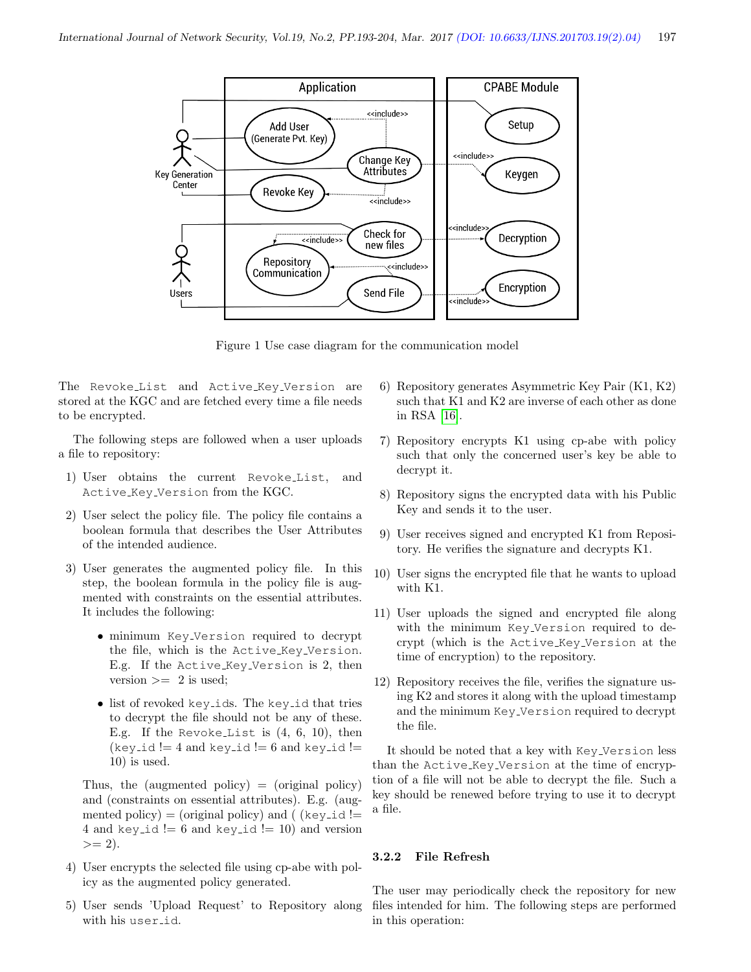<span id="page-4-0"></span>

Figure 1 Use case diagram for the communication model

The Revoke<sub>-List</sub> and Active<sub>-Key-Version are</sub> stored at the KGC and are fetched every time a file needs to be encrypted.

The following steps are followed when a user uploads a file to repository:

- 1) User obtains the current Revoke List, and Active Key Version from the KGC.
- 2) User select the policy file. The policy file contains a boolean formula that describes the User Attributes of the intended audience.
- 3) User generates the augmented policy file. In this step, the boolean formula in the policy file is augmented with constraints on the essential attributes. It includes the following:
	- minimum Key Version required to decrypt the file, which is the Active Key Version. E.g. If the Active Key Version is 2, then version  $>= 2$  is used;
	- list of revoked key\_ids. The key\_id that tries to decrypt the file should not be any of these. E.g. If the Revoke List is  $(4, 6, 10)$ , then  $(key_id != 4 and key_id != 6 and key_id !=$ 10) is used.

Thus, the (augmented policy)  $=$  (original policy) and (constraints on essential attributes). E.g. (augmented policy) = (original policy) and (  $(key_id!)$ 4 and key\_id  $!= 6$  and key\_id  $!= 10$ ) and version  $>= 2.$ 

- 4) User encrypts the selected file using cp-abe with policy as the augmented policy generated.
- 5) User sends 'Upload Request' to Repository along with his user id.
- 6) Repository generates Asymmetric Key Pair (K1, K2) such that K1 and K2 are inverse of each other as done in RSA [\[16\]](#page-10-19).
- 7) Repository encrypts K1 using cp-abe with policy such that only the concerned user's key be able to decrypt it.
- 8) Repository signs the encrypted data with his Public Key and sends it to the user.
- 9) User receives signed and encrypted K1 from Repository. He verifies the signature and decrypts K1.
- 10) User signs the encrypted file that he wants to upload with K1.
- 11) User uploads the signed and encrypted file along with the minimum Key Version required to decrypt (which is the Active Key Version at the time of encryption) to the repository.
- 12) Repository receives the file, verifies the signature using K2 and stores it along with the upload timestamp and the minimum Key Version required to decrypt the file.

It should be noted that a key with Key Version less than the Active Key Version at the time of encryption of a file will not be able to decrypt the file. Such a key should be renewed before trying to use it to decrypt a file.

#### 3.2.2 File Refresh

The user may periodically check the repository for new files intended for him. The following steps are performed in this operation: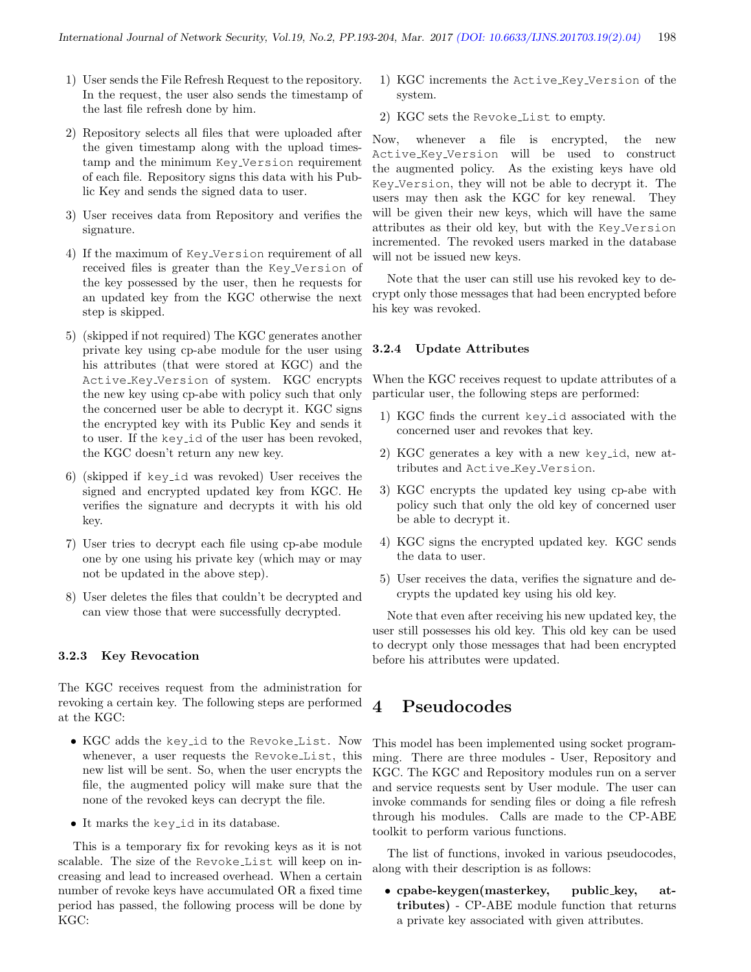- 1) User sends the File Refresh Request to the repository. In the request, the user also sends the timestamp of the last file refresh done by him.
- 2) Repository selects all files that were uploaded after the given timestamp along with the upload timestamp and the minimum Key Version requirement of each file. Repository signs this data with his Public Key and sends the signed data to user.
- 3) User receives data from Repository and verifies the signature.
- 4) If the maximum of Key Version requirement of all received files is greater than the Key Version of the key possessed by the user, then he requests for an updated key from the KGC otherwise the next step is skipped.
- 5) (skipped if not required) The KGC generates another private key using cp-abe module for the user using his attributes (that were stored at KGC) and the Active Key Version of system. KGC encrypts the new key using cp-abe with policy such that only the concerned user be able to decrypt it. KGC signs the encrypted key with its Public Key and sends it to user. If the key id of the user has been revoked, the KGC doesn't return any new key.
- 6) (skipped if key id was revoked) User receives the signed and encrypted updated key from KGC. He verifies the signature and decrypts it with his old key.
- 7) User tries to decrypt each file using cp-abe module one by one using his private key (which may or may not be updated in the above step).
- 8) User deletes the files that couldn't be decrypted and can view those that were successfully decrypted.

#### 3.2.3 Key Revocation

The KGC receives request from the administration for revoking a certain key. The following steps are performed at the KGC:

- KGC adds the key id to the Revoke List. Now whenever, a user requests the Revoke List, this new list will be sent. So, when the user encrypts the file, the augmented policy will make sure that the none of the revoked keys can decrypt the file.
- It marks the key id in its database.

This is a temporary fix for revoking keys as it is not scalable. The size of the Revoke List will keep on increasing and lead to increased overhead. When a certain number of revoke keys have accumulated OR a fixed time period has passed, the following process will be done by KGC:

- 1) KGC increments the Active\_Key\_Version of the system.
- 2) KGC sets the Revoke List to empty.

Now, whenever a file is encrypted, the new Active Key Version will be used to construct the augmented policy. As the existing keys have old Key Version, they will not be able to decrypt it. The users may then ask the KGC for key renewal. They will be given their new keys, which will have the same attributes as their old key, but with the Key Version incremented. The revoked users marked in the database will not be issued new keys.

Note that the user can still use his revoked key to decrypt only those messages that had been encrypted before his key was revoked.

#### 3.2.4 Update Attributes

When the KGC receives request to update attributes of a particular user, the following steps are performed:

- 1) KGC finds the current key id associated with the concerned user and revokes that key.
- 2) KGC generates a key with a new key id, new attributes and Active Key Version.
- 3) KGC encrypts the updated key using cp-abe with policy such that only the old key of concerned user be able to decrypt it.
- 4) KGC signs the encrypted updated key. KGC sends the data to user.
- 5) User receives the data, verifies the signature and decrypts the updated key using his old key.

Note that even after receiving his new updated key, the user still possesses his old key. This old key can be used to decrypt only those messages that had been encrypted before his attributes were updated.

# <span id="page-5-0"></span>4 Pseudocodes

This model has been implemented using socket programming. There are three modules - User, Repository and KGC. The KGC and Repository modules run on a server and service requests sent by User module. The user can invoke commands for sending files or doing a file refresh through his modules. Calls are made to the CP-ABE toolkit to perform various functions.

The list of functions, invoked in various pseudocodes, along with their description is as follows:

• cpabe-keygen(masterkey, public key, attributes) - CP-ABE module function that returns a private key associated with given attributes.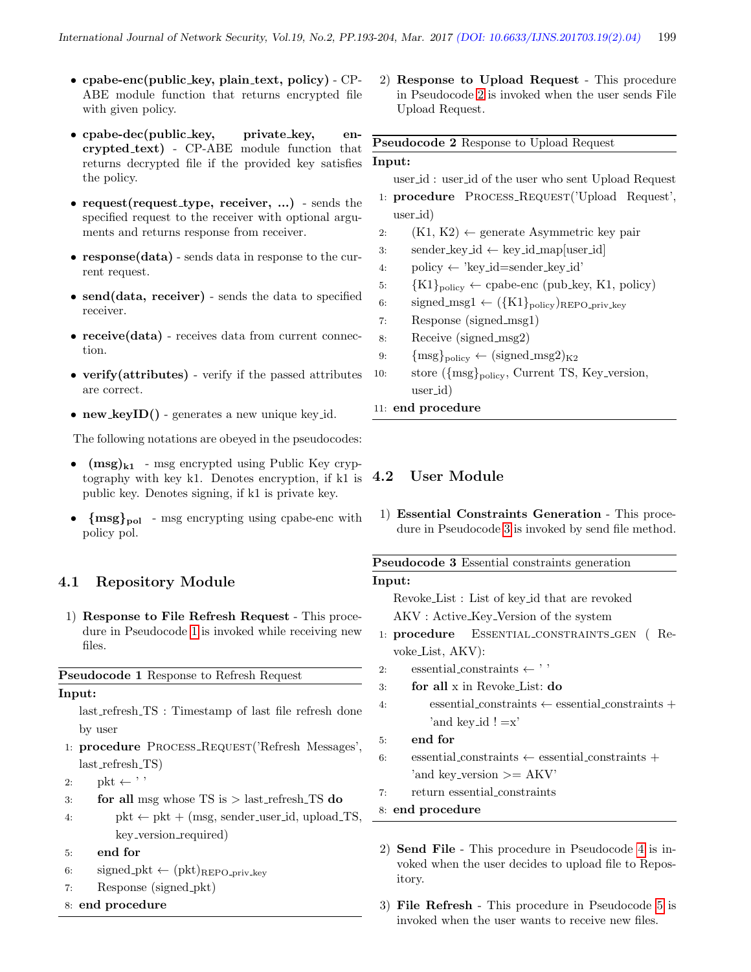- $\bullet$  cpabe-enc(public\_key, plain\_text, policy) CP-ABE module function that returns encrypted file with given policy.
- cpabe-dec(public\_key, private\_key, encrypted text) - CP-ABE module function that returns decrypted file if the provided key satisfies the policy.
- request(request\_type, receiver, ...) sends the specified request to the receiver with optional arguments and returns response from receiver.
- response(data) sends data in response to the current request.
- send(data, receiver) sends the data to specified receiver.
- receive(data) receives data from current connection.
- verify(attributes) verify if the passed attributes are correct.
- new  $keyID()$  generates a new unique key id.

The following notations are obeyed in the pseudocodes:

- $(msg)_{k1}$  msg encrypted using Public Key cryptography with key k1. Denotes encryption, if k1 is public key. Denotes signing, if k1 is private key.
- ${msg}_{pol}$  msg encrypting using cpabe-enc with policy pol.

#### 4.1 Repository Module

1) Response to File Refresh Request - This procedure in Pseudocode [1](#page-6-0) is invoked while receiving new files.

<span id="page-6-0"></span>Pseudocode 1 Response to Refresh Request

#### Input:

- last refresh TS : Timestamp of last file refresh done by user
- 1: procedure Process Request('Refresh Messages', last refresh TS)
- 2:  $pkt \leftarrow$ ''
- 3: for all msg whose  $TS$  is  $>$  last\_refresh\_TS do
- 4:  $pkt \leftarrow pkt + (msg, sender_user_id, upload_TS,$ key version required)
- 5: end for
- 6: signed\_pkt  $\leftarrow$  (pkt)<sub>REPO-priv-key</sub>
- 7: Response (signed pkt)
- 8: end procedure

2) Response to Upload Request - This procedure in Pseudocode [2](#page-6-1) is invoked when the user sends File Upload Request.

# <span id="page-6-1"></span>Pseudocode 2 Response to Upload Request Input:

- user id : user id of the user who sent Upload Request
- 1: procedure PROCESS\_REQUEST('Upload Request', user id)
- 2:  $(K1, K2) \leftarrow$  generate Asymmetric key pair
- 3: sender\_key\_id  $\leftarrow$  key\_id\_map[user\_id]
- 4: policy  $\leftarrow$  'key\_id=sender\_key\_id'
- 5:  ${K1}_{\text{policy}} \leftarrow \text{cpabe-enc (pub\_key, K1, policy)}$
- 6: signed\_msg1  $\leftarrow (\lbrace K1 \rbrace_{\text{policy}})_{\text{REPO\_priv\_key}}$
- 7: Response (signed msg1)
- 8: Receive (signed msg2)
- 9:  ${msg}_{policy} \leftarrow (signed_msg2)_{K2}$
- 10: store  $({\{msg\}_{policy},$  Current TS, Key\_version, user id)
- 11: end procedure

#### 4.2 User Module

1) Essential Constraints Generation - This procedure in Pseudocode [3](#page-6-2) is invoked by send file method.

# <span id="page-6-2"></span>Pseudocode 3 Essential constraints generation Input:

Revoke List : List of key id that are revoked AKV : Active Key Version of the system

- 1: procedure ESSENTIAL\_CONSTRAINTS\_GEN (Revoke List, AKV):
- 2: essential\_constraints  $\leftarrow$ ''
- 3: for all x in Revoke List: do
- 4: essential constraints  $\leftarrow$  essential constraints + 'and key  $id$  !  $=x'$
- 5: end for
- 6: essential constraints  $\leftarrow$  essential constraints + 'and key\_version  $>= AKV'$
- 7: return essential constraints
- 8: end procedure
- 2) Send File This procedure in Pseudocode [4](#page-7-1) is invoked when the user decides to upload file to Repository.
- 3) File Refresh This procedure in Pseudocode [5](#page-7-2) is invoked when the user wants to receive new files.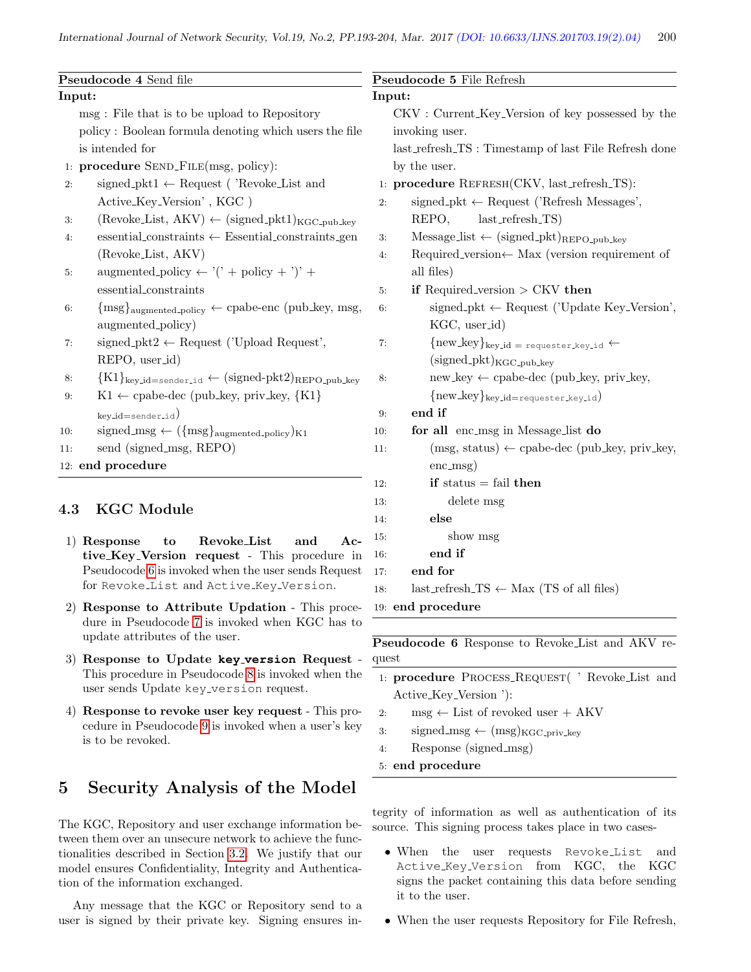<span id="page-7-1"></span>

| Pseudocode 4 Send file<br>Input:     |                                                                         |              | Pseudocode 5 File Refresh<br>Input:                                           |  |
|--------------------------------------|-------------------------------------------------------------------------|--------------|-------------------------------------------------------------------------------|--|
|                                      |                                                                         |              |                                                                               |  |
|                                      | policy: Boolean formula denoting which users the file                   |              | invoking user.                                                                |  |
|                                      | is intended for                                                         |              | last_refresh_TS: Timestamp of last File Refresh done                          |  |
| 1: procedure SEND_FILE(msg, policy): |                                                                         | by the user. |                                                                               |  |
| 2:                                   | signed_pkt1 $\leftarrow$ Request ( 'Revoke_List and                     |              | 1: procedure REFRESH(CKV, last_refresh_TS):                                   |  |
|                                      | Active_Key_Version', KGC)                                               | 2:           | signed_pkt $\leftarrow$ Request ('Refresh Messages',                          |  |
| 3:                                   | $(Revoke\_List, AKV) \leftarrow (signed\_pkt1)_{KGC\_pub\_key}$         |              | $last_refresh_TS)$<br>REPO,                                                   |  |
| 4:                                   | $essential_{\rm~constraints} \leftarrow$ Essential constraints gen      | 3:           | $Message_list \leftarrow (signed៊_Pkt)_{REPO\_pub\_key}$                      |  |
|                                      | (Revoke_List, AKV)                                                      | 4:           | Required_version $\leftarrow$ Max (version requirement of                     |  |
| 5:                                   | augmented-policy $\leftarrow$ '(' + policy + ')' +                      |              | all files)                                                                    |  |
|                                      | essential_constraints                                                   | 5:           | if Required_version $>$ CKV then                                              |  |
| 6:                                   | ${msg}_{augmented\_policy} \leftarrow cpabe\text{-}enc (pub\_key, msg,$ | 6:           | signed_pkt $\leftarrow$ Request ('Update Key_Version',                        |  |
|                                      | augmented_policy)                                                       |              | KGC, user_id)                                                                 |  |
| 7:                                   | signed_pkt2 $\leftarrow$ Request ('Upload Request',                     | 7:           | ${\{\text{new\_key}\}}_{\text{key_id}} = \text{requester\_key_id} \leftarrow$ |  |
|                                      | REPO, user_id)                                                          |              | $(signed{\text{-}pkt})_{KGC{\text{-}pub\text{-}key}}$                         |  |
| 8:                                   | ${K1}_{key\_id = sender\_id} \leftarrow (signed-pkt2)_{REPO-pub\_key}$  | 8:           | $new\_key \leftarrow cpabe-dec (pub\_key, priv\_key,$                         |  |
| 9:                                   | $K1 \leftarrow$ cpabe-dec (pub_key, priv_key, {K1}                      |              | ${\rm new\_key}_{\rm key\_id=requester\_key\_id}$                             |  |
|                                      | key_id=sender_id)                                                       | 9:           | end if                                                                        |  |
| 10:                                  | signed_msg $\leftarrow (\{msg\}_{augmented\_policy})_{K1}$              | 10:          | for all enc_msg in Message_list do                                            |  |
| 11:                                  | send (signed_msg, REPO)                                                 | 11:          | $(msg, status) \leftarrow cpabe-dec (pub\_key, priv\_key,$                    |  |
| 12: end procedure                    |                                                                         |              | $enc_{\text{msg}}$                                                            |  |
|                                      |                                                                         | 12:          | if status $=$ fail then                                                       |  |
|                                      |                                                                         | 13:          | delete msg                                                                    |  |
| 4.3                                  | <b>KGC</b> Module                                                       |              | $-1$ $-$                                                                      |  |

- 1) Response to Revoke List and Active Key Version request - This procedure in Pseudocode [6](#page-7-3) is invoked when the user sends Request for Revoke List and Active Key Version.
- 2) Response to Attribute Updation This procedure in Pseudocode [7](#page-8-0) is invoked when KGC has to update attributes of the user.
- 3) Response to Update **key version** Request This procedure in Pseudocode [8](#page-8-1) is invoked when the user sends Update key\_version request.
- 4) Response to revoke user key request This procedure in Pseudocode [9](#page-8-2) is invoked when a user's key is to be revoked.

# <span id="page-7-0"></span>5 Security Analysis of the Model

The KGC, Repository and user exchange information between them over an unsecure network to achieve the functionalities described in Section [3.2.](#page-3-1) We justify that our model ensures Confidentiality, Integrity and Authentication of the information exchanged.

Any message that the KGC or Repository send to a user is signed by their private key. Signing ensures in-

# <span id="page-7-2"></span>14: else 15: show msg 16: end if 17: end for 18: last\_refresh\_TS  $\leftarrow$  Max (TS of all files) 19: end procedure

<span id="page-7-3"></span>Pseudocode 6 Response to Revoke List and AKV request

- 1: procedure PROCESS\_REQUEST( ' Revoke\_List and Active\_Key\_Version '):
- 2: msg  $\leftarrow$  List of revoked user + AKV
- 3: signed\_msg  $\leftarrow$  (msg)<sub>KGC\_priv\_key</sub>
- 4: Response (signed msg)
- 5: end procedure

tegrity of information as well as authentication of its source. This signing process takes place in two cases-

- When the user requests Revoke List and Active Key Version from KGC, the KGC signs the packet containing this data before sending it to the user.
- When the user requests Repository for File Refresh,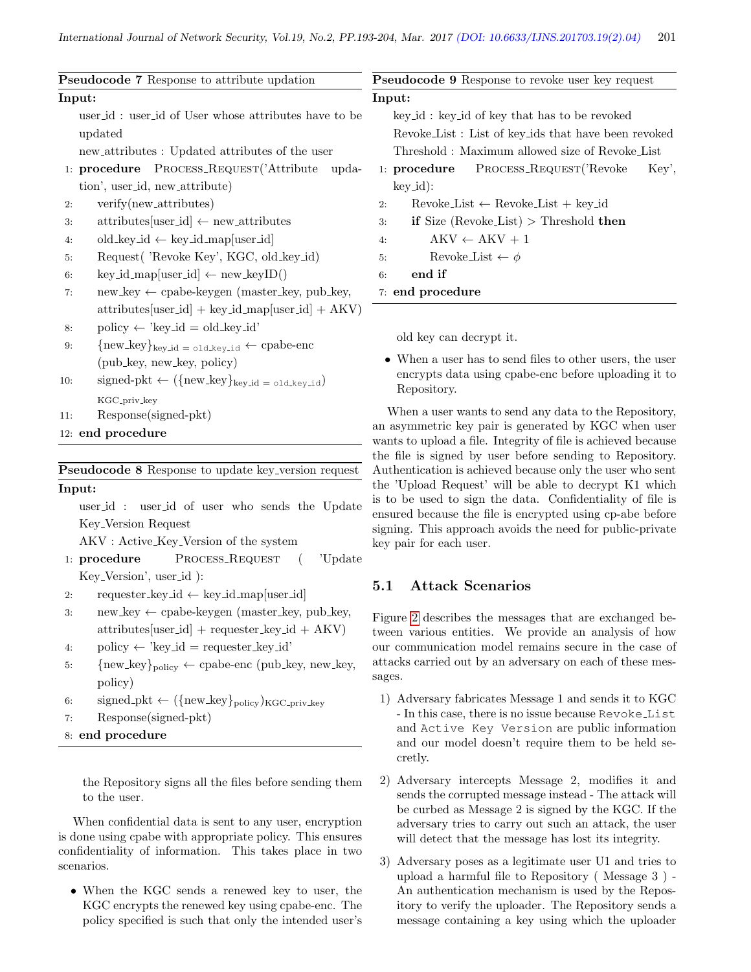<span id="page-8-2"></span><span id="page-8-0"></span>

|        | <b>Pseudocode 7</b> Response to attribute updation                                                                                                                  |    | Pseudocode 9 Response to revoke user key request                                                                                                                                                            |  |  |
|--------|---------------------------------------------------------------------------------------------------------------------------------------------------------------------|----|-------------------------------------------------------------------------------------------------------------------------------------------------------------------------------------------------------------|--|--|
| Input: |                                                                                                                                                                     |    | Input:                                                                                                                                                                                                      |  |  |
|        | user_id: user_id of User whose attributes have to be<br>updated<br>new_attributes : Updated attributes of the user<br>1: procedure PROCESS_REQUEST('Attribute upda- |    | key_id: key_id of key that has to be revoked<br>Revoke List: List of key ids that have been revoked<br>Threshold: Maximum allowed size of Revoke List<br>PROCESS_REQUEST('Revoke<br>$1:$ procedure<br>Key', |  |  |
|        | tion', user_id, new_attribute)                                                                                                                                      |    | $key_id)$ :                                                                                                                                                                                                 |  |  |
| 2:     | verify(new_attributes)                                                                                                                                              | 2: | $Revoke\_List \leftarrow Revoke\_List + key\_id$                                                                                                                                                            |  |  |
| 3:     | $\text{attributes}[\text{user_id}] \leftarrow \text{new}_\text{-} \text{attributes}$                                                                                | 3: | if Size (Revoke List) > Threshold then                                                                                                                                                                      |  |  |
| 4:     | $old_{\text{key_id}} \leftarrow \text{key_id\_map}[\text{user_id}]$                                                                                                 | 4: | $AKV \leftarrow AKV + 1$                                                                                                                                                                                    |  |  |
| 5:     | Request( 'Revoke Key', KGC, old_key_id)                                                                                                                             | 5: | Revoke_List $\leftarrow \phi$                                                                                                                                                                               |  |  |
| 6:     | $key_id_map[user_id] \leftarrow new_keyID()$                                                                                                                        | 6: | end if                                                                                                                                                                                                      |  |  |
| 7:     | $new_{key} \leftarrow$ cpabe-keygen (master_key, pub_key,                                                                                                           |    | 7: end procedure                                                                                                                                                                                            |  |  |
|        | $\text{attributes}[\text{user_id}] + \text{key_id} \text{__map}[\text{user_id}] + \text{AKV})$                                                                      |    |                                                                                                                                                                                                             |  |  |
| 8:     | $policy \leftarrow 'key_id = old_key_id'$                                                                                                                           |    | old key can decrypt it.                                                                                                                                                                                     |  |  |
| 9:     | ${\{\text{new\_key}\}}_{\text{key\_id}} = \text{old\_key\_id} \leftarrow \text{cpabe-enc}$                                                                          |    |                                                                                                                                                                                                             |  |  |
| 10:    | (pub_key, new_key, policy)<br>signed-pkt $\leftarrow (\{\text{new\_key}\}_{\text{key\_id}} = \text{old\_key\_id})$                                                  |    | • When a user has to send files to other users, the user<br>encrypts data using cpabe-enc before uploading it to<br>Repository.                                                                             |  |  |
| 11:    | KGC <sub>-priv-key</sub><br>Response(signed-pkt)                                                                                                                    |    | When a user wants to send any data to the Repository,                                                                                                                                                       |  |  |

```
12: end procedure
```
<span id="page-8-1"></span>Pseudocode 8 Response to update key version request Input:

user id : user id of user who sends the Update Key Version Request

AKV : Active Key Version of the system

- 1: procedure PROCESS\_REQUEST ( 'Update Key Version', user id ):
- 2: requester\_key\_id  $\leftarrow$  key\_id\_map[user\_id]
- 3: new key  $\leftarrow$  cpabe-keygen (master key, pub key,  $\text{attributes}[\text{user_id}] + \text{requester\_key_id} + \text{AKV}]$
- 4: policy  $\leftarrow$  'key\_id = requester\_key\_id'
- 5: { $new\_key$ } $_{policy} \leftarrow$  cpabe-enc (pub\_key, new\_key, policy)
- 6: signed\_pkt  $\leftarrow (\{\text{new\_key}\}_{\text{policy}})_{\text{KGC\_priv\_key}}$

```
7: Response(signed-pkt)
```
8: end procedure

the Repository signs all the files before sending them to the user.

When confidential data is sent to any user, encryption is done using cpabe with appropriate policy. This ensures confidentiality of information. This takes place in two scenarios.

• When the KGC sends a renewed key to user, the KGC encrypts the renewed key using cpabe-enc. The policy specified is such that only the intended user's an asymmetric key pair is generated by KGC when user wants to upload a file. Integrity of file is achieved because the file is signed by user before sending to Repository. Authentication is achieved because only the user who sent the 'Upload Request' will be able to decrypt K1 which is to be used to sign the data. Confidentiality of file is ensured because the file is encrypted using cp-abe before signing. This approach avoids the need for public-private key pair for each user.

# 5.1 Attack Scenarios

Figure [2](#page-9-0) describes the messages that are exchanged between various entities. We provide an analysis of how our communication model remains secure in the case of attacks carried out by an adversary on each of these messages.

- 1) Adversary fabricates Message 1 and sends it to KGC - In this case, there is no issue because Revoke List and Active Key Version are public information and our model doesn't require them to be held secretly.
- 2) Adversary intercepts Message 2, modifies it and sends the corrupted message instead - The attack will be curbed as Message 2 is signed by the KGC. If the adversary tries to carry out such an attack, the user will detect that the message has lost its integrity.
- 3) Adversary poses as a legitimate user U1 and tries to upload a harmful file to Repository ( Message 3 ) - An authentication mechanism is used by the Repository to verify the uploader. The Repository sends a message containing a key using which the uploader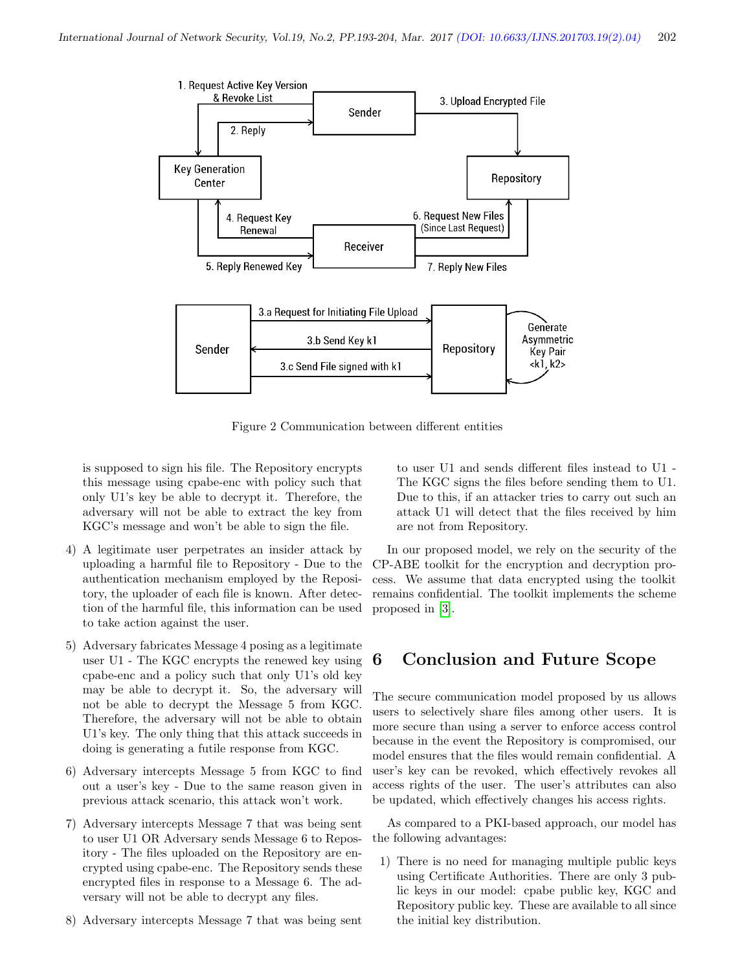<span id="page-9-0"></span>

Figure 2 Communication between different entities

is supposed to sign his file. The Repository encrypts this message using cpabe-enc with policy such that only U1's key be able to decrypt it. Therefore, the adversary will not be able to extract the key from KGC's message and won't be able to sign the file.

- 4) A legitimate user perpetrates an insider attack by uploading a harmful file to Repository - Due to the authentication mechanism employed by the Repository, the uploader of each file is known. After detection of the harmful file, this information can be used to take action against the user.
- 5) Adversary fabricates Message 4 posing as a legitimate user U1 - The KGC encrypts the renewed key using cpabe-enc and a policy such that only U1's old key may be able to decrypt it. So, the adversary will not be able to decrypt the Message 5 from KGC. Therefore, the adversary will not be able to obtain U1's key. The only thing that this attack succeeds in doing is generating a futile response from KGC.
- 6) Adversary intercepts Message 5 from KGC to find out a user's key - Due to the same reason given in previous attack scenario, this attack won't work.
- 7) Adversary intercepts Message 7 that was being sent to user U1 OR Adversary sends Message 6 to Repository - The files uploaded on the Repository are encrypted using cpabe-enc. The Repository sends these encrypted files in response to a Message 6. The adversary will not be able to decrypt any files.
- 8) Adversary intercepts Message 7 that was being sent

to user U1 and sends different files instead to U1 - The KGC signs the files before sending them to U1. Due to this, if an attacker tries to carry out such an attack U1 will detect that the files received by him are not from Repository.

In our proposed model, we rely on the security of the CP-ABE toolkit for the encryption and decryption process. We assume that data encrypted using the toolkit remains confidential. The toolkit implements the scheme proposed in [\[3\]](#page-10-9).

# 6 Conclusion and Future Scope

The secure communication model proposed by us allows users to selectively share files among other users. It is more secure than using a server to enforce access control because in the event the Repository is compromised, our model ensures that the files would remain confidential. A user's key can be revoked, which effectively revokes all access rights of the user. The user's attributes can also be updated, which effectively changes his access rights.

As compared to a PKI-based approach, our model has the following advantages:

1) There is no need for managing multiple public keys using Certificate Authorities. There are only 3 public keys in our model: cpabe public key, KGC and Repository public key. These are available to all since the initial key distribution.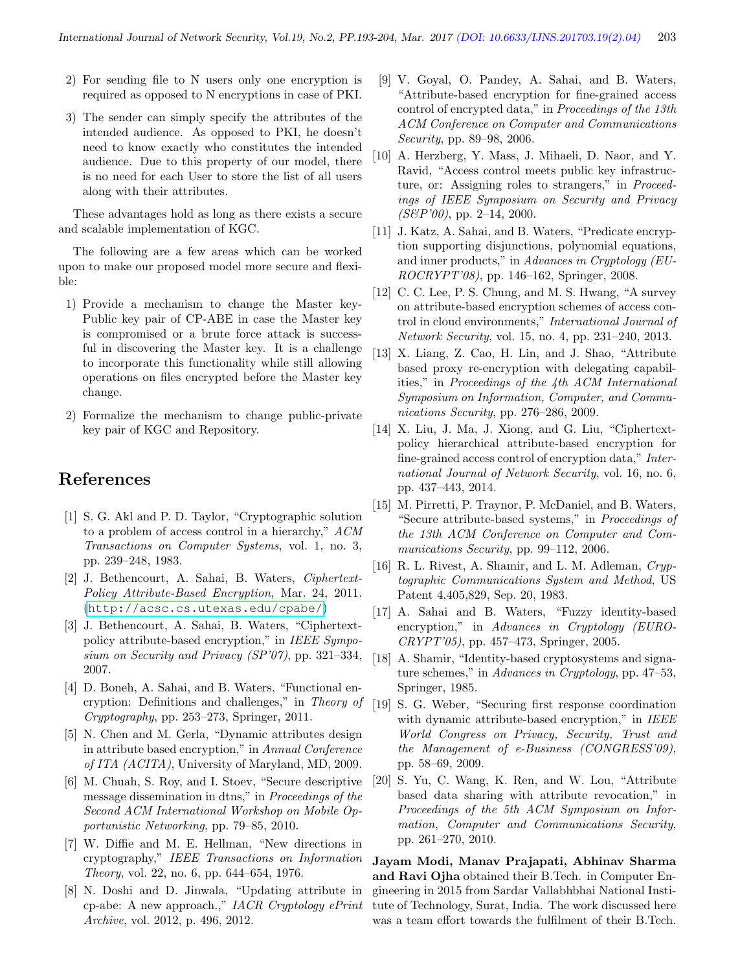- 2) For sending file to N users only one encryption is required as opposed to N encryptions in case of PKI.
- 3) The sender can simply specify the attributes of the intended audience. As opposed to PKI, he doesn't need to know exactly who constitutes the intended audience. Due to this property of our model, there is no need for each User to store the list of all users along with their attributes.

These advantages hold as long as there exists a secure and scalable implementation of KGC.

The following are a few areas which can be worked upon to make our proposed model more secure and flexible:

- 1) Provide a mechanism to change the Master key-Public key pair of CP-ABE in case the Master key is compromised or a brute force attack is successful in discovering the Master key. It is a challenge to incorporate this functionality while still allowing operations on files encrypted before the Master key change.
- 2) Formalize the mechanism to change public-private key pair of KGC and Repository.

# References

- <span id="page-10-1"></span>[1] S. G. Akl and P. D. Taylor, "Cryptographic solution to a problem of access control in a hierarchy," ACM Transactions on Computer Systems, vol. 1, no. 3, pp. 239–248, 1983.
- <span id="page-10-18"></span>[2] J. Bethencourt, A. Sahai, B. Waters, Ciphertext-Policy Attribute-Based Encryption, Mar. 24, 2011. (<http://acsc.cs.utexas.edu/cpabe/>)
- <span id="page-10-9"></span>[3] J. Bethencourt, A. Sahai, B. Waters, "Ciphertextpolicy attribute-based encryption," in IEEE Symposium on Security and Privacy (SP'07), pp. 321–334, 2007.
- <span id="page-10-10"></span>[4] D. Boneh, A. Sahai, and B. Waters, "Functional encryption: Definitions and challenges," in Theory of Cryptography, pp. 253–273, Springer, 2011.
- <span id="page-10-15"></span>[5] N. Chen and M. Gerla, "Dynamic attributes design in attribute based encryption," in Annual Conference of ITA (ACITA), University of Maryland, MD, 2009.
- <span id="page-10-6"></span>[6] M. Chuah, S. Roy, and I. Stoev, "Secure descriptive message dissemination in dtns," in Proceedings of the Second ACM International Workshop on Mobile Opportunistic Networking, pp. 79–85, 2010.
- <span id="page-10-7"></span>[7] W. Diffie and M. E. Hellman, "New directions in cryptography," IEEE Transactions on Information Theory, vol. 22, no. 6, pp. 644–654, 1976.
- <span id="page-10-17"></span>[8] N. Doshi and D. Jinwala, "Updating attribute in cp-abe: A new approach.," IACR Cryptology ePrint Archive, vol. 2012, p. 496, 2012.
- <span id="page-10-3"></span>[9] V. Goyal, O. Pandey, A. Sahai, and B. Waters, "Attribute-based encryption for fine-grained access control of encrypted data," in Proceedings of the 13th ACM Conference on Computer and Communications Security, pp. 89–98, 2006.
- <span id="page-10-0"></span>[10] A. Herzberg, Y. Mass, J. Mihaeli, D. Naor, and Y. Ravid, "Access control meets public key infrastructure, or: Assigning roles to strangers," in *Proceed*ings of IEEE Symposium on Security and Privacy  $(S\&P'00)$ , pp. 2–14, 2000.
- <span id="page-10-11"></span>[11] J. Katz, A. Sahai, and B. Waters, "Predicate encryption supporting disjunctions, polynomial equations, and inner products," in Advances in Cryptology (EU-ROCRYPT'08), pp. 146–162, Springer, 2008.
- <span id="page-10-4"></span>[12] C. C. Lee, P. S. Chung, and M. S. Hwang, "A survey on attribute-based encryption schemes of access control in cloud environments," International Journal of Network Security, vol. 15, no. 4, pp. 231–240, 2013.
- <span id="page-10-14"></span>[13] X. Liang, Z. Cao, H. Lin, and J. Shao, "Attribute based proxy re-encryption with delegating capabilities," in Proceedings of the 4th ACM International Symposium on Information, Computer, and Communications Security, pp. 276–286, 2009.
- <span id="page-10-5"></span>[14] X. Liu, J. Ma, J. Xiong, and G. Liu, "Ciphertextpolicy hierarchical attribute-based encryption for fine-grained access control of encryption data," International Journal of Network Security, vol. 16, no. 6, pp. 437–443, 2014.
- <span id="page-10-12"></span>[15] M. Pirretti, P. Traynor, P. McDaniel, and B. Waters, "Secure attribute-based systems," in Proceedings of the 13th ACM Conference on Computer and Communications Security, pp. 99–112, 2006.
- <span id="page-10-19"></span>[16] R. L. Rivest, A. Shamir, and L. M. Adleman, Cryptographic Communications System and Method, US Patent 4,405,829, Sep. 20, 1983.
- <span id="page-10-2"></span>[17] A. Sahai and B. Waters, "Fuzzy identity-based encryption," in Advances in Cryptology (EURO-CRYPT'05), pp. 457–473, Springer, 2005.
- <span id="page-10-8"></span>[18] A. Shamir, "Identity-based cryptosystems and signature schemes," in Advances in Cryptology, pp. 47–53, Springer, 1985.
- <span id="page-10-16"></span>[19] S. G. Weber, "Securing first response coordination with dynamic attribute-based encryption," in IEEE World Congress on Privacy, Security, Trust and the Management of e-Business (CONGRESS'09), pp. 58–69, 2009.
- <span id="page-10-13"></span>[20] S. Yu, C. Wang, K. Ren, and W. Lou, "Attribute based data sharing with attribute revocation," in Proceedings of the 5th ACM Symposium on Information, Computer and Communications Security, pp. 261–270, 2010.

Jayam Modi, Manav Prajapati, Abhinav Sharma and Ravi Ojha obtained their B.Tech. in Computer Engineering in 2015 from Sardar Vallabhbhai National Institute of Technology, Surat, India. The work discussed here was a team effort towards the fulfilment of their B.Tech.